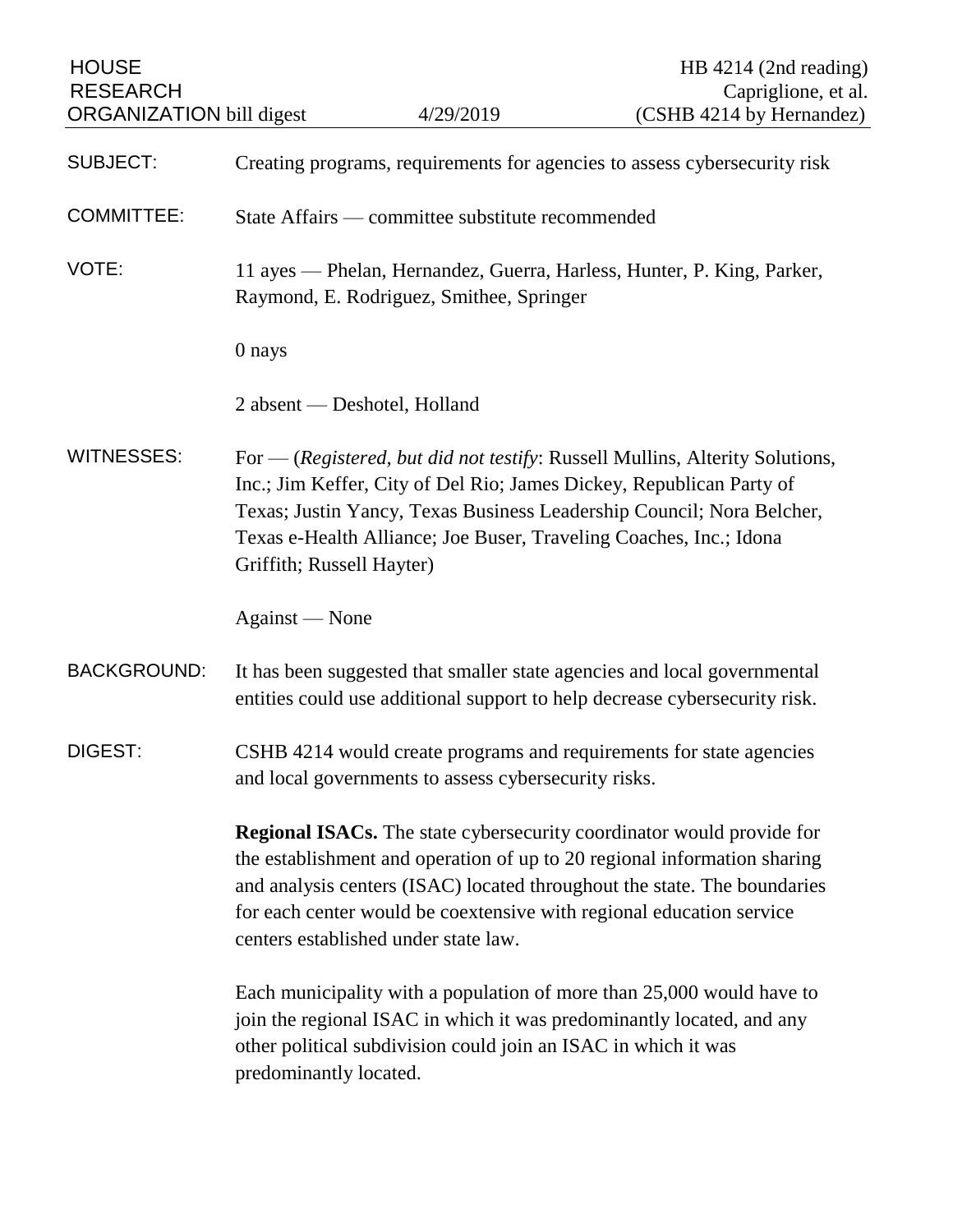| <b>HOUSE</b><br><b>RESEARCH</b><br><b>ORGANIZATION</b> bill digest |                                                                                                                                                                                                                                                                                                                                                      | 4/29/2019                                                      | HB 4214 (2nd reading)<br>Capriglione, et al.<br>(CSHB 4214 by Hernandez)                                                                               |
|--------------------------------------------------------------------|------------------------------------------------------------------------------------------------------------------------------------------------------------------------------------------------------------------------------------------------------------------------------------------------------------------------------------------------------|----------------------------------------------------------------|--------------------------------------------------------------------------------------------------------------------------------------------------------|
| <b>SUBJECT:</b>                                                    | Creating programs, requirements for agencies to assess cybersecurity risk                                                                                                                                                                                                                                                                            |                                                                |                                                                                                                                                        |
| <b>COMMITTEE:</b>                                                  | State Affairs — committee substitute recommended                                                                                                                                                                                                                                                                                                     |                                                                |                                                                                                                                                        |
| VOTE:                                                              | 11 ayes — Phelan, Hernandez, Guerra, Harless, Hunter, P. King, Parker,<br>Raymond, E. Rodriguez, Smithee, Springer                                                                                                                                                                                                                                   |                                                                |                                                                                                                                                        |
|                                                                    | 0 nays                                                                                                                                                                                                                                                                                                                                               |                                                                |                                                                                                                                                        |
|                                                                    | 2 absent — Deshotel, Holland                                                                                                                                                                                                                                                                                                                         |                                                                |                                                                                                                                                        |
| <b>WITNESSES:</b>                                                  | For — (Registered, but did not testify: Russell Mullins, Alterity Solutions,<br>Inc.; Jim Keffer, City of Del Rio; James Dickey, Republican Party of<br>Texas; Justin Yancy, Texas Business Leadership Council; Nora Belcher,<br>Texas e-Health Alliance; Joe Buser, Traveling Coaches, Inc.; Idona<br>Griffith; Russell Hayter)                     |                                                                |                                                                                                                                                        |
|                                                                    | Against - None                                                                                                                                                                                                                                                                                                                                       |                                                                |                                                                                                                                                        |
| <b>BACKGROUND:</b>                                                 |                                                                                                                                                                                                                                                                                                                                                      |                                                                | It has been suggested that smaller state agencies and local governmental<br>entities could use additional support to help decrease cybersecurity risk. |
| DIGEST:                                                            | CSHB 4214 would create programs and requirements for state agencies<br>and local governments to assess cybersecurity risks.                                                                                                                                                                                                                          |                                                                |                                                                                                                                                        |
|                                                                    | <b>Regional ISACs.</b> The state cybersecurity coordinator would provide for<br>the establishment and operation of up to 20 regional information sharing<br>and analysis centers (ISAC) located throughout the state. The boundaries<br>for each center would be coextensive with regional education service<br>centers established under state law. |                                                                |                                                                                                                                                        |
|                                                                    | predominantly located.                                                                                                                                                                                                                                                                                                                               | other political subdivision could join an ISAC in which it was | Each municipality with a population of more than 25,000 would have to<br>join the regional ISAC in which it was predominantly located, and any         |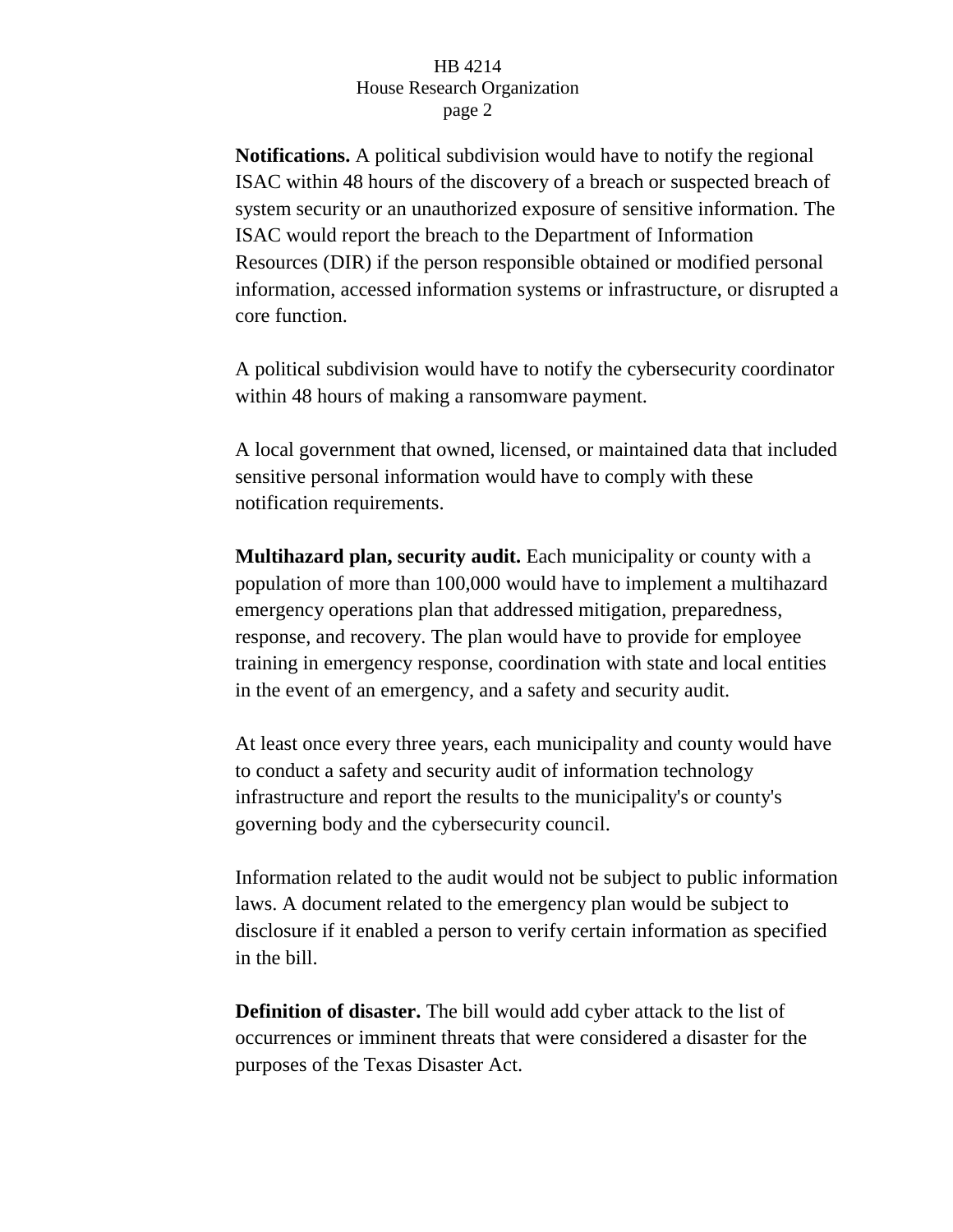**Notifications.** A political subdivision would have to notify the regional ISAC within 48 hours of the discovery of a breach or suspected breach of system security or an unauthorized exposure of sensitive information. The ISAC would report the breach to the Department of Information Resources (DIR) if the person responsible obtained or modified personal information, accessed information systems or infrastructure, or disrupted a core function.

A political subdivision would have to notify the cybersecurity coordinator within 48 hours of making a ransomware payment.

A local government that owned, licensed, or maintained data that included sensitive personal information would have to comply with these notification requirements.

**Multihazard plan, security audit.** Each municipality or county with a population of more than 100,000 would have to implement a multihazard emergency operations plan that addressed mitigation, preparedness, response, and recovery. The plan would have to provide for employee training in emergency response, coordination with state and local entities in the event of an emergency, and a safety and security audit.

At least once every three years, each municipality and county would have to conduct a safety and security audit of information technology infrastructure and report the results to the municipality's or county's governing body and the cybersecurity council.

Information related to the audit would not be subject to public information laws. A document related to the emergency plan would be subject to disclosure if it enabled a person to verify certain information as specified in the bill.

**Definition of disaster.** The bill would add cyber attack to the list of occurrences or imminent threats that were considered a disaster for the purposes of the Texas Disaster Act.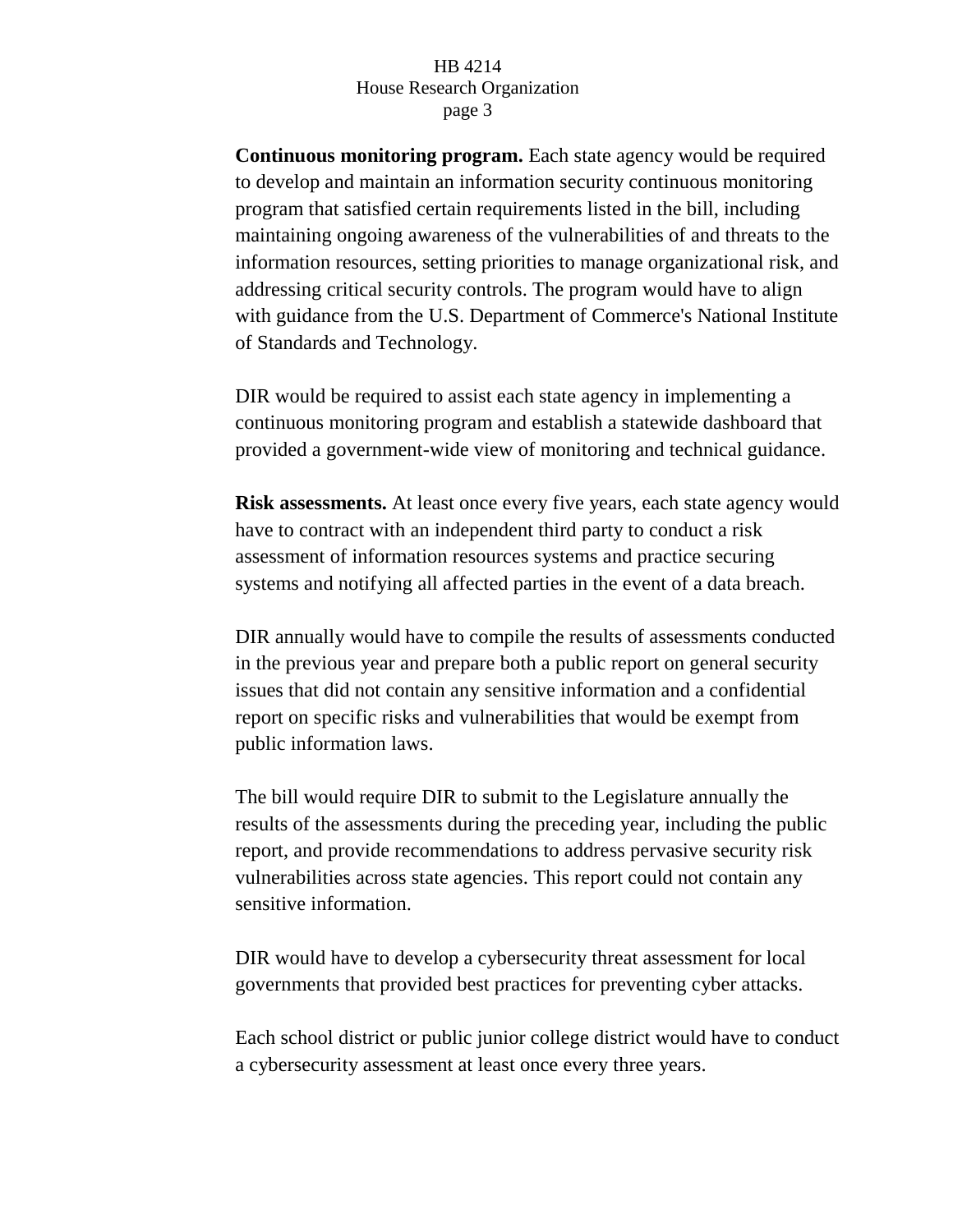**Continuous monitoring program.** Each state agency would be required to develop and maintain an information security continuous monitoring program that satisfied certain requirements listed in the bill, including maintaining ongoing awareness of the vulnerabilities of and threats to the information resources, setting priorities to manage organizational risk, and addressing critical security controls. The program would have to align with guidance from the U.S. Department of Commerce's National Institute of Standards and Technology.

DIR would be required to assist each state agency in implementing a continuous monitoring program and establish a statewide dashboard that provided a government-wide view of monitoring and technical guidance.

**Risk assessments.** At least once every five years, each state agency would have to contract with an independent third party to conduct a risk assessment of information resources systems and practice securing systems and notifying all affected parties in the event of a data breach.

DIR annually would have to compile the results of assessments conducted in the previous year and prepare both a public report on general security issues that did not contain any sensitive information and a confidential report on specific risks and vulnerabilities that would be exempt from public information laws.

The bill would require DIR to submit to the Legislature annually the results of the assessments during the preceding year, including the public report, and provide recommendations to address pervasive security risk vulnerabilities across state agencies. This report could not contain any sensitive information.

DIR would have to develop a cybersecurity threat assessment for local governments that provided best practices for preventing cyber attacks.

Each school district or public junior college district would have to conduct a cybersecurity assessment at least once every three years.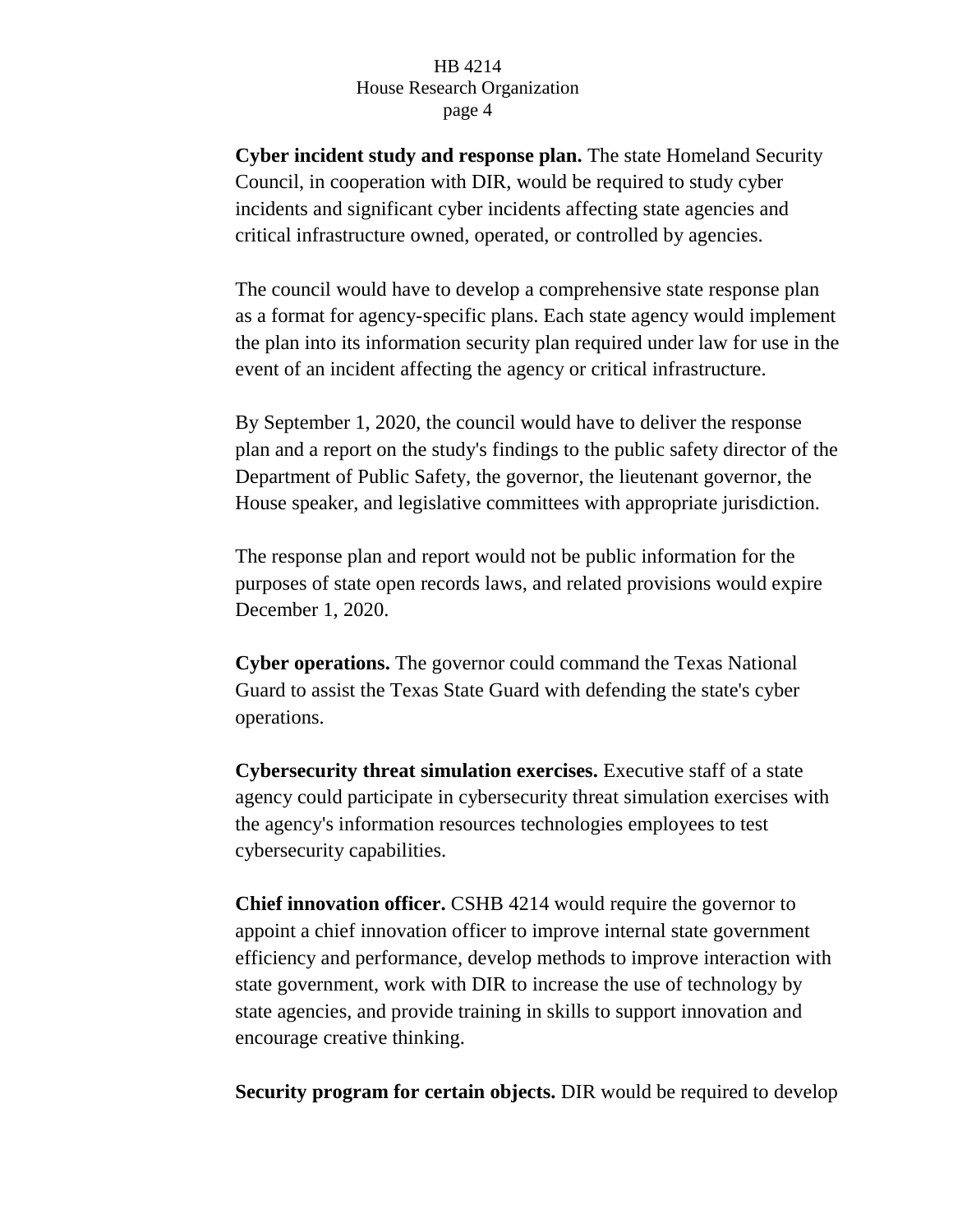**Cyber incident study and response plan.** The state Homeland Security Council, in cooperation with DIR, would be required to study cyber incidents and significant cyber incidents affecting state agencies and critical infrastructure owned, operated, or controlled by agencies.

The council would have to develop a comprehensive state response plan as a format for agency-specific plans. Each state agency would implement the plan into its information security plan required under law for use in the event of an incident affecting the agency or critical infrastructure.

By September 1, 2020, the council would have to deliver the response plan and a report on the study's findings to the public safety director of the Department of Public Safety, the governor, the lieutenant governor, the House speaker, and legislative committees with appropriate jurisdiction.

The response plan and report would not be public information for the purposes of state open records laws, and related provisions would expire December 1, 2020.

**Cyber operations.** The governor could command the Texas National Guard to assist the Texas State Guard with defending the state's cyber operations.

**Cybersecurity threat simulation exercises.** Executive staff of a state agency could participate in cybersecurity threat simulation exercises with the agency's information resources technologies employees to test cybersecurity capabilities.

**Chief innovation officer.** CSHB 4214 would require the governor to appoint a chief innovation officer to improve internal state government efficiency and performance, develop methods to improve interaction with state government, work with DIR to increase the use of technology by state agencies, and provide training in skills to support innovation and encourage creative thinking.

**Security program for certain objects.** DIR would be required to develop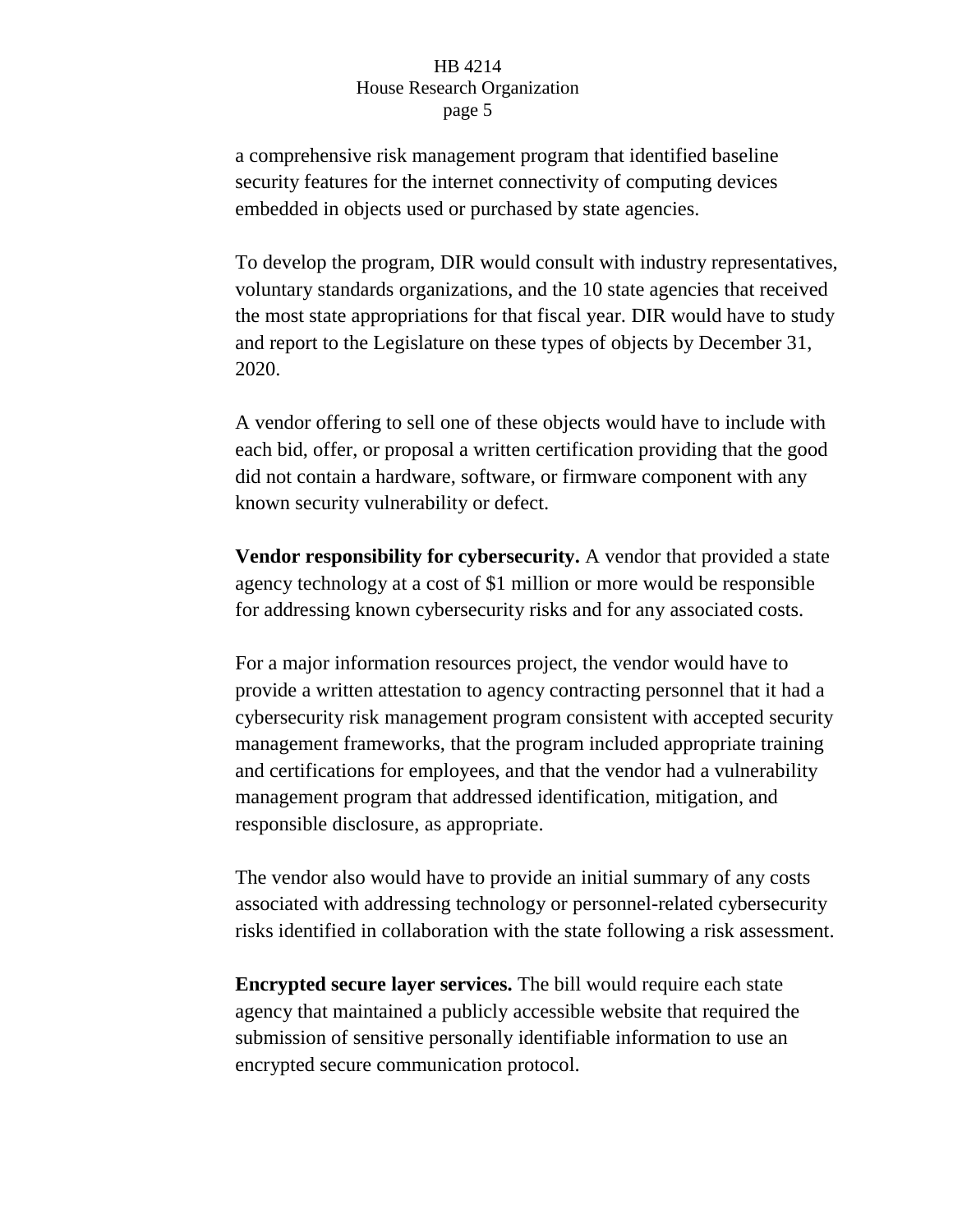a comprehensive risk management program that identified baseline security features for the internet connectivity of computing devices embedded in objects used or purchased by state agencies.

To develop the program, DIR would consult with industry representatives, voluntary standards organizations, and the 10 state agencies that received the most state appropriations for that fiscal year. DIR would have to study and report to the Legislature on these types of objects by December 31, 2020.

A vendor offering to sell one of these objects would have to include with each bid, offer, or proposal a written certification providing that the good did not contain a hardware, software, or firmware component with any known security vulnerability or defect.

**Vendor responsibility for cybersecurity.** A vendor that provided a state agency technology at a cost of \$1 million or more would be responsible for addressing known cybersecurity risks and for any associated costs.

For a major information resources project, the vendor would have to provide a written attestation to agency contracting personnel that it had a cybersecurity risk management program consistent with accepted security management frameworks, that the program included appropriate training and certifications for employees, and that the vendor had a vulnerability management program that addressed identification, mitigation, and responsible disclosure, as appropriate.

The vendor also would have to provide an initial summary of any costs associated with addressing technology or personnel-related cybersecurity risks identified in collaboration with the state following a risk assessment.

**Encrypted secure layer services.** The bill would require each state agency that maintained a publicly accessible website that required the submission of sensitive personally identifiable information to use an encrypted secure communication protocol.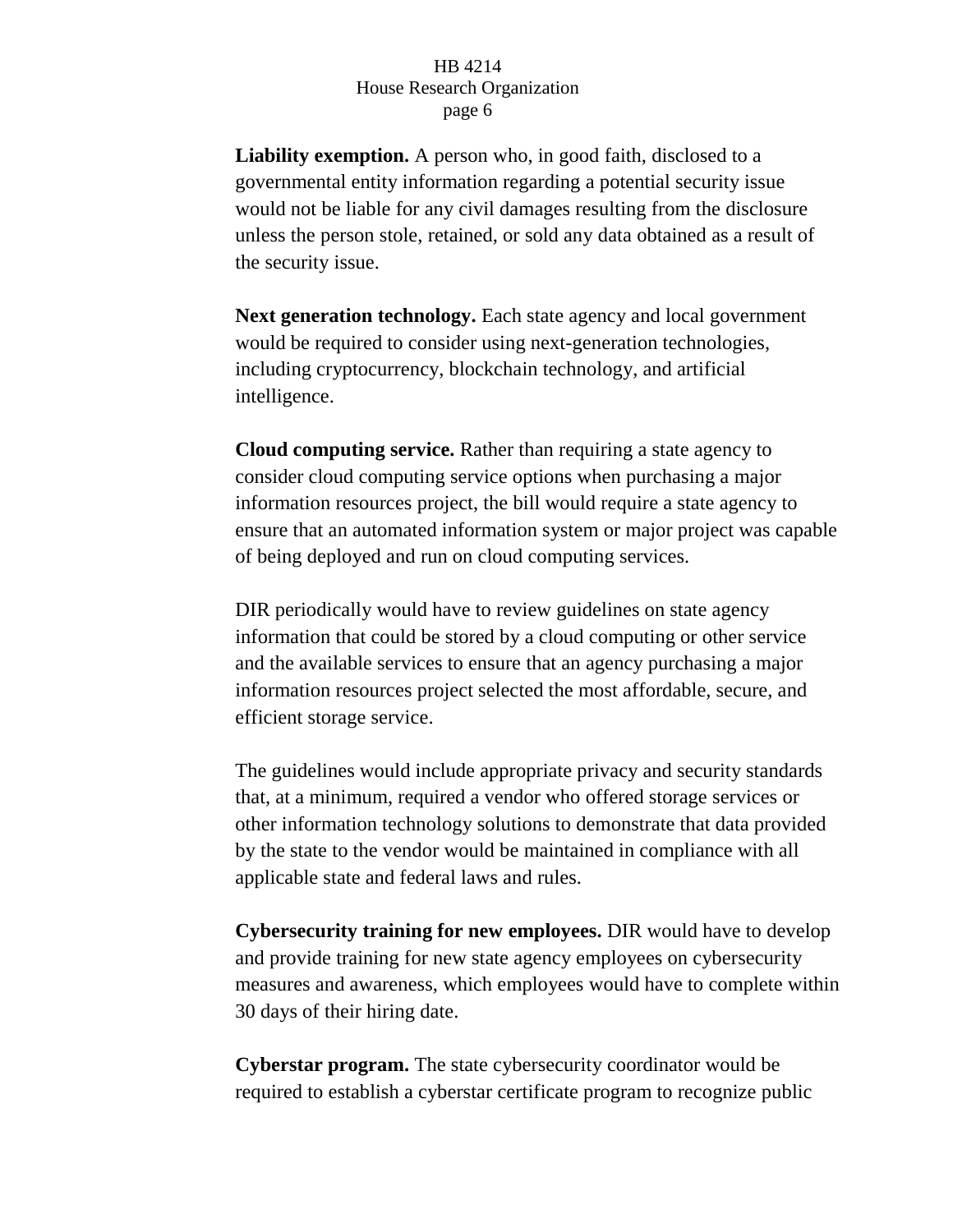**Liability exemption.** A person who, in good faith, disclosed to a governmental entity information regarding a potential security issue would not be liable for any civil damages resulting from the disclosure unless the person stole, retained, or sold any data obtained as a result of the security issue.

**Next generation technology.** Each state agency and local government would be required to consider using next-generation technologies, including cryptocurrency, blockchain technology, and artificial intelligence.

**Cloud computing service.** Rather than requiring a state agency to consider cloud computing service options when purchasing a major information resources project, the bill would require a state agency to ensure that an automated information system or major project was capable of being deployed and run on cloud computing services.

DIR periodically would have to review guidelines on state agency information that could be stored by a cloud computing or other service and the available services to ensure that an agency purchasing a major information resources project selected the most affordable, secure, and efficient storage service.

The guidelines would include appropriate privacy and security standards that, at a minimum, required a vendor who offered storage services or other information technology solutions to demonstrate that data provided by the state to the vendor would be maintained in compliance with all applicable state and federal laws and rules.

**Cybersecurity training for new employees.** DIR would have to develop and provide training for new state agency employees on cybersecurity measures and awareness, which employees would have to complete within 30 days of their hiring date.

**Cyberstar program.** The state cybersecurity coordinator would be required to establish a cyberstar certificate program to recognize public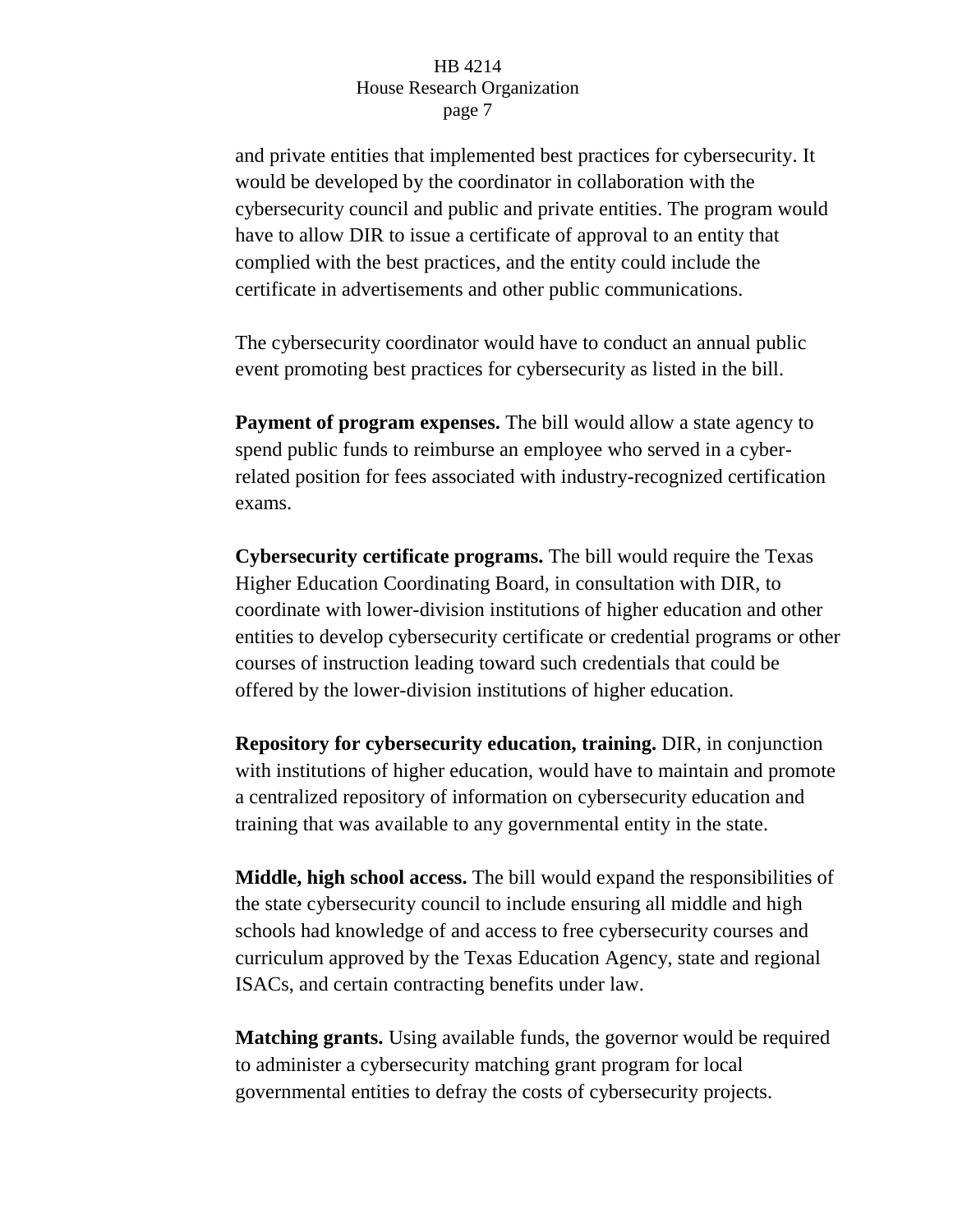and private entities that implemented best practices for cybersecurity. It would be developed by the coordinator in collaboration with the cybersecurity council and public and private entities. The program would have to allow DIR to issue a certificate of approval to an entity that complied with the best practices, and the entity could include the certificate in advertisements and other public communications.

The cybersecurity coordinator would have to conduct an annual public event promoting best practices for cybersecurity as listed in the bill.

**Payment of program expenses.** The bill would allow a state agency to spend public funds to reimburse an employee who served in a cyberrelated position for fees associated with industry-recognized certification exams.

**Cybersecurity certificate programs.** The bill would require the Texas Higher Education Coordinating Board, in consultation with DIR, to coordinate with lower-division institutions of higher education and other entities to develop cybersecurity certificate or credential programs or other courses of instruction leading toward such credentials that could be offered by the lower-division institutions of higher education.

**Repository for cybersecurity education, training.** DIR, in conjunction with institutions of higher education, would have to maintain and promote a centralized repository of information on cybersecurity education and training that was available to any governmental entity in the state.

**Middle, high school access.** The bill would expand the responsibilities of the state cybersecurity council to include ensuring all middle and high schools had knowledge of and access to free cybersecurity courses and curriculum approved by the Texas Education Agency, state and regional ISACs, and certain contracting benefits under law.

**Matching grants.** Using available funds, the governor would be required to administer a cybersecurity matching grant program for local governmental entities to defray the costs of cybersecurity projects.